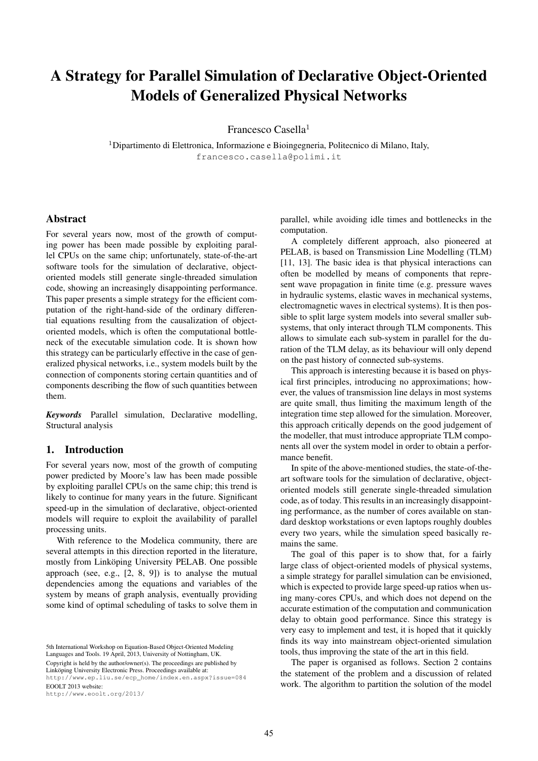# A Strategy for Parallel Simulation of Declarative Object-Oriented Models of Generalized Physical Networks

Francesco Casella<sup>1</sup>

 $1$ Dipartimento di Elettronica, Informazione e Bioingegneria, Politecnico di Milano, Italy, francesco.casella@polimi.it

#### Abstract

For several years now, most of the growth of computing power has been made possible by exploiting parallel CPUs on the same chip; unfortunately, state-of-the-art software tools for the simulation of declarative, objectoriented models still generate single-threaded simulation code, showing an increasingly disappointing performance. This paper presents a simple strategy for the efficient computation of the right-hand-side of the ordinary differential equations resulting from the causalization of objectoriented models, which is often the computational bottleneck of the executable simulation code. It is shown how this strategy can be particularly effective in the case of generalized physical networks, i.e., system models built by the connection of components storing certain quantities and of components describing the flow of such quantities between them.

*Keywords* Parallel simulation, Declarative modelling, Structural analysis

# 1. Introduction

For several years now, most of the growth of computing power predicted by Moore's law has been made possible by exploiting parallel CPUs on the same chip; this trend is likely to continue for many years in the future. Significant speed-up in the simulation of declarative, object-oriented models will require to exploit the availability of parallel processing units.

With reference to the Modelica community, there are several attempts in this direction reported in the literature, mostly from Linköping University PELAB. One possible approach (see, e.g., [2, 8, 9]) is to analyse the mutual dependencies among the equations and variables of the system by means of graph analysis, eventually providing some kind of optimal scheduling of tasks to solve them in

http://www.eoolt.org/2013/

parallel, while avoiding idle times and bottlenecks in the computation.

A completely different approach, also pioneered at PELAB, is based on Transmission Line Modelling (TLM) [11, 13]. The basic idea is that physical interactions can often be modelled by means of components that represent wave propagation in finite time (e.g. pressure waves in hydraulic systems, elastic waves in mechanical systems, electromagnetic waves in electrical systems). It is then possible to split large system models into several smaller subsystems, that only interact through TLM components. This allows to simulate each sub-system in parallel for the duration of the TLM delay, as its behaviour will only depend on the past history of connected sub-systems.

This approach is interesting because it is based on physical first principles, introducing no approximations; however, the values of transmission line delays in most systems are quite small, thus limiting the maximum length of the integration time step allowed for the simulation. Moreover, this approach critically depends on the good judgement of the modeller, that must introduce appropriate TLM components all over the system model in order to obtain a performance benefit.

In spite of the above-mentioned studies, the state-of-theart software tools for the simulation of declarative, objectoriented models still generate single-threaded simulation code, as of today. This results in an increasingly disappointing performance, as the number of cores available on standard desktop workstations or even laptops roughly doubles every two years, while the simulation speed basically remains the same.

The goal of this paper is to show that, for a fairly large class of object-oriented models of physical systems, a simple strategy for parallel simulation can be envisioned, which is expected to provide large speed-up ratios when using many-cores CPUs, and which does not depend on the accurate estimation of the computation and communication delay to obtain good performance. Since this strategy is very easy to implement and test, it is hoped that it quickly finds its way into mainstream object-oriented simulation tools, thus improving the state of the art in this field.

The paper is organised as follows. Section 2 contains the statement of the problem and a discussion of related work. The algorithm to partition the solution of the model

<sup>5</sup>th International Workshop on Equation-Based Object-Oriented Modeling Languages and Tools. 19 April, 2013, University of Nottingham, UK. Copyright is held by the author/owner(s). The proceedings are published by Linköping University Electronic Press. Proceedings available at: http://www.ep.liu.se/ecp\_home/index.en.aspx?issue=084 EOOLT 2013 website: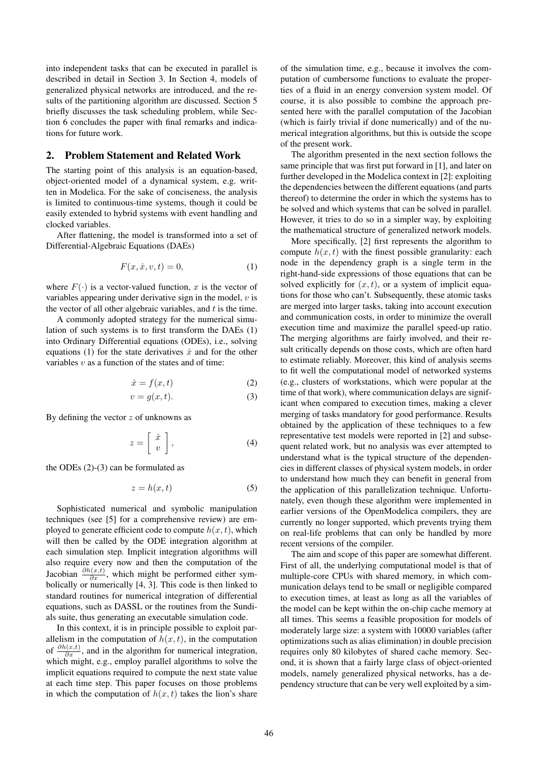into independent tasks that can be executed in parallel is described in detail in Section 3. In Section 4, models of generalized physical networks are introduced, and the results of the partitioning algorithm are discussed. Section 5 briefly discusses the task scheduling problem, while Section 6 concludes the paper with final remarks and indications for future work.

#### 2. Problem Statement and Related Work

The starting point of this analysis is an equation-based, object-oriented model of a dynamical system, e.g. written in Modelica. For the sake of conciseness, the analysis is limited to continuous-time systems, though it could be easily extended to hybrid systems with event handling and clocked variables.

After flattening, the model is transformed into a set of Differential-Algebraic Equations (DAEs)

$$
F(x, \dot{x}, v, t) = 0,\tag{1}
$$

where  $F(\cdot)$  is a vector-valued function, x is the vector of variables appearing under derivative sign in the model,  $v$  is the vector of all other algebraic variables, and  $t$  is the time.

A commonly adopted strategy for the numerical simulation of such systems is to first transform the DAEs (1) into Ordinary Differential equations (ODEs), i.e., solving equations (1) for the state derivatives  $\dot{x}$  and for the other variables  $v$  as a function of the states and of time:

$$
\dot{x} = f(x, t) \tag{2}
$$

$$
v = g(x, t). \tag{3}
$$

By defining the vector  $z$  of unknowns as

$$
z = \left[ \begin{array}{c} \dot{x} \\ v \end{array} \right],\tag{4}
$$

the ODEs (2)-(3) can be formulated as

$$
z = h(x, t) \tag{5}
$$

Sophisticated numerical and symbolic manipulation techniques (see [5] for a comprehensive review) are employed to generate efficient code to compute  $h(x, t)$ , which will then be called by the ODE integration algorithm at each simulation step. Implicit integration algorithms will also require every now and then the computation of the Jacobian  $\frac{\partial h(x,t)}{\partial x}$ , which might be performed either symbolically or numerically [4, 3]. This code is then linked to standard routines for numerical integration of differential equations, such as DASSL or the routines from the Sundials suite, thus generating an executable simulation code.

In this context, it is in principle possible to exploit parallelism in the computation of  $h(x, t)$ , in the computation of  $\frac{\partial h(x,t)}{\partial x}$ , and in the algorithm for numerical integration, which might, e.g., employ parallel algorithms to solve the implicit equations required to compute the next state value at each time step. This paper focuses on those problems in which the computation of  $h(x, t)$  takes the lion's share of the simulation time, e.g., because it involves the computation of cumbersome functions to evaluate the properties of a fluid in an energy conversion system model. Of course, it is also possible to combine the approach presented here with the parallel computation of the Jacobian (which is fairly trivial if done numerically) and of the numerical integration algorithms, but this is outside the scope of the present work.

The algorithm presented in the next section follows the same principle that was first put forward in [1], and later on further developed in the Modelica context in [2]: exploiting the dependencies between the different equations (and parts thereof) to determine the order in which the systems has to be solved and which systems that can be solved in parallel. However, it tries to do so in a simpler way, by exploiting the mathematical structure of generalized network models.

More specifically, [2] first represents the algorithm to compute  $h(x, t)$  with the finest possible granularity: each node in the dependency graph is a single term in the right-hand-side expressions of those equations that can be solved explicitly for  $(x, t)$ , or a system of implicit equations for those who can't. Subsequently, these atomic tasks are merged into larger tasks, taking into account execution and communication costs, in order to minimize the overall execution time and maximize the parallel speed-up ratio. The merging algorithms are fairly involved, and their result critically depends on those costs, which are often hard to estimate reliably. Moreover, this kind of analysis seems to fit well the computational model of networked systems (e.g., clusters of workstations, which were popular at the time of that work), where communication delays are significant when compared to execution times, making a clever merging of tasks mandatory for good performance. Results obtained by the application of these techniques to a few representative test models were reported in [2] and subsequent related work, but no analysis was ever attempted to understand what is the typical structure of the dependencies in different classes of physical system models, in order to understand how much they can benefit in general from the application of this parallelization technique. Unfortunately, even though these algorithm were implemented in earlier versions of the OpenModelica compilers, they are currently no longer supported, which prevents trying them on real-life problems that can only be handled by more recent versions of the compiler.

The aim and scope of this paper are somewhat different. First of all, the underlying computational model is that of multiple-core CPUs with shared memory, in which communication delays tend to be small or negligible compared to execution times, at least as long as all the variables of the model can be kept within the on-chip cache memory at all times. This seems a feasible proposition for models of moderately large size: a system with 10000 variables (after optimizations such as alias elimination) in double precision requires only 80 kilobytes of shared cache memory. Second, it is shown that a fairly large class of object-oriented models, namely generalized physical networks, has a dependency structure that can be very well exploited by a sim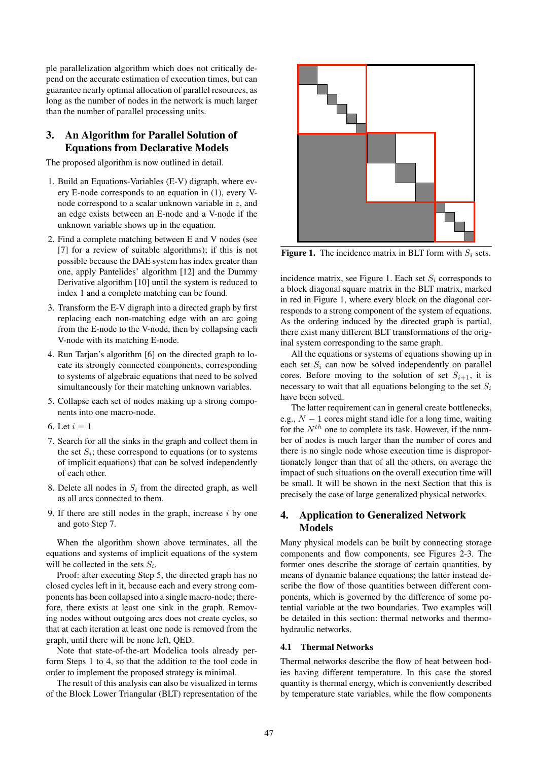ple parallelization algorithm which does not critically depend on the accurate estimation of execution times, but can guarantee nearly optimal allocation of parallel resources, as long as the number of nodes in the network is much larger than the number of parallel processing units.

# 3. An Algorithm for Parallel Solution of Equations from Declarative Models

The proposed algorithm is now outlined in detail.

- 1. Build an Equations-Variables (E-V) digraph, where every E-node corresponds to an equation in (1), every Vnode correspond to a scalar unknown variable in z, and an edge exists between an E-node and a V-node if the unknown variable shows up in the equation.
- 2. Find a complete matching between E and V nodes (see [7] for a review of suitable algorithms); if this is not possible because the DAE system has index greater than one, apply Pantelides' algorithm [12] and the Dummy Derivative algorithm [10] until the system is reduced to index 1 and a complete matching can be found.
- 3. Transform the E-V digraph into a directed graph by first replacing each non-matching edge with an arc going from the E-node to the V-node, then by collapsing each V-node with its matching E-node.
- 4. Run Tarjan's algorithm [6] on the directed graph to locate its strongly connected components, corresponding to systems of algebraic equations that need to be solved simultaneously for their matching unknown variables.
- 5. Collapse each set of nodes making up a strong components into one macro-node.
- 6. Let  $i = 1$
- 7. Search for all the sinks in the graph and collect them in the set  $S_i$ ; these correspond to equations (or to systems of implicit equations) that can be solved independently of each other.
- 8. Delete all nodes in  $S_i$  from the directed graph, as well as all arcs connected to them.
- 9. If there are still nodes in the graph, increase  $i$  by one and goto Step 7.

When the algorithm shown above terminates, all the equations and systems of implicit equations of the system will be collected in the sets  $S_i$ .

Proof: after executing Step 5, the directed graph has no closed cycles left in it, because each and every strong components has been collapsed into a single macro-node; therefore, there exists at least one sink in the graph. Removing nodes without outgoing arcs does not create cycles, so that at each iteration at least one node is removed from the graph, until there will be none left, QED.

Note that state-of-the-art Modelica tools already perform Steps 1 to 4, so that the addition to the tool code in order to implement the proposed strategy is minimal.

The result of this analysis can also be visualized in terms of the Block Lower Triangular (BLT) representation of the



**Figure 1.** The incidence matrix in BLT form with  $S_i$  sets.

incidence matrix, see Figure 1. Each set  $S_i$  corresponds to a block diagonal square matrix in the BLT matrix, marked in red in Figure 1, where every block on the diagonal corresponds to a strong component of the system of equations. As the ordering induced by the directed graph is partial, there exist many different BLT transformations of the original system corresponding to the same graph.

All the equations or systems of equations showing up in each set  $S_i$  can now be solved independently on parallel cores. Before moving to the solution of set  $S_{i+1}$ , it is necessary to wait that all equations belonging to the set  $S_i$ have been solved.

The latter requirement can in general create bottlenecks, e.g.,  $N - 1$  cores might stand idle for a long time, waiting for the  $N^{th}$  one to complete its task. However, if the number of nodes is much larger than the number of cores and there is no single node whose execution time is disproportionately longer than that of all the others, on average the impact of such situations on the overall execution time will be small. It will be shown in the next Section that this is precisely the case of large generalized physical networks.

## 4. Application to Generalized Network Models

Many physical models can be built by connecting storage components and flow components, see Figures 2-3. The former ones describe the storage of certain quantities, by means of dynamic balance equations; the latter instead describe the flow of those quantities between different components, which is governed by the difference of some potential variable at the two boundaries. Two examples will be detailed in this section: thermal networks and thermohydraulic networks.

#### 4.1 Thermal Networks

Thermal networks describe the flow of heat between bodies having different temperature. In this case the stored quantity is thermal energy, which is conveniently described by temperature state variables, while the flow components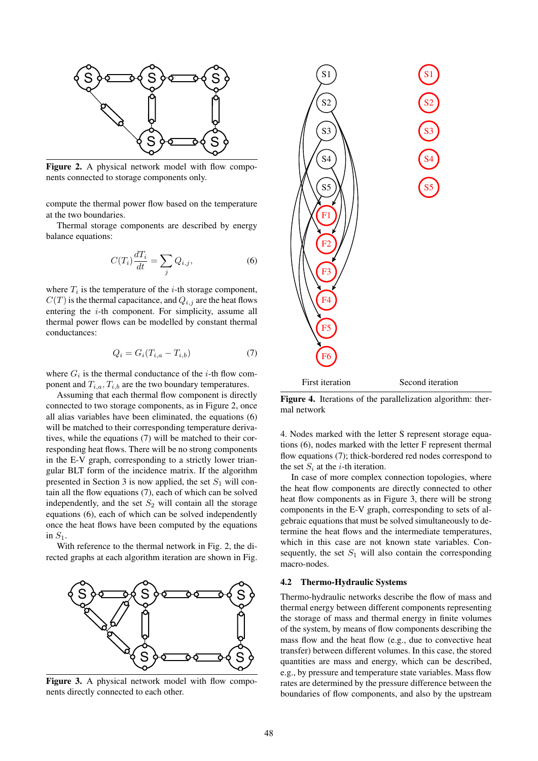

Figure 2. A physical network model with flow components connected to storage components only.

compute the thermal power flow based on the temperature at the two boundaries.

Thermal storage components are described by energy balance equations:

$$
C(T_i)\frac{dT_i}{dt} = \sum_j Q_{i,j},\tag{6}
$$

where  $T_i$  is the temperature of the *i*-th storage component,  $C(T)$  is the thermal capacitance, and  $Q_{i,j}$  are the heat flows entering the i-th component. For simplicity, assume all thermal power flows can be modelled by constant thermal conductances:

$$
Q_i = G_i (T_{i,a} - T_{i,b}) \tag{7}
$$

where  $G_i$  is the thermal conductance of the *i*-th flow component and  $T_{i,a}, T_{i,b}$  are the two boundary temperatures.

Assuming that each thermal flow component is directly connected to two storage components, as in Figure 2, once all alias variables have been eliminated, the equations (6) will be matched to their corresponding temperature derivatives, while the equations (7) will be matched to their corresponding heat flows. There will be no strong components in the E-V graph, corresponding to a strictly lower triangular BLT form of the incidence matrix. If the algorithm presented in Section 3 is now applied, the set  $S_1$  will contain all the flow equations (7), each of which can be solved independently, and the set  $S_2$  will contain all the storage equations (6), each of which can be solved independently once the heat flows have been computed by the equations in  $S_1$ .

With reference to the thermal network in Fig. 2, the directed graphs at each algorithm iteration are shown in Fig.



Figure 3. A physical network model with flow components directly connected to each other.



Figure 4. Iterations of the parallelization algorithm: thermal network

4. Nodes marked with the letter S represent storage equations (6), nodes marked with the letter F represent thermal flow equations (7); thick-bordered red nodes correspond to the set  $S_i$  at the *i*-th iteration.

In case of more complex connection topologies, where the heat flow components are directly connected to other heat flow components as in Figure 3, there will be strong components in the E-V graph, corresponding to sets of algebraic equations that must be solved simultaneously to determine the heat flows and the intermediate temperatures, which in this case are not known state variables. Consequently, the set  $S_1$  will also contain the corresponding macro-nodes.

#### 4.2 Thermo-Hydraulic Systems

Thermo-hydraulic networks describe the flow of mass and thermal energy between different components representing the storage of mass and thermal energy in finite volumes of the system, by means of flow components describing the mass flow and the heat flow (e.g., due to convective heat transfer) between different volumes. In this case, the stored quantities are mass and energy, which can be described, e.g., by pressure and temperature state variables. Mass flow rates are determined by the pressure difference between the boundaries of flow components, and also by the upstream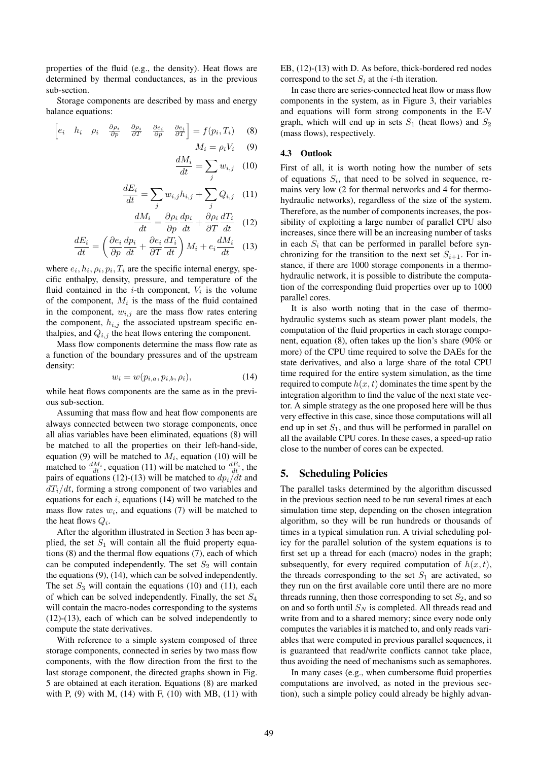properties of the fluid (e.g., the density). Heat flows are determined by thermal conductances, as in the previous sub-section.

Storage components are described by mass and energy balance equations:

$$
\begin{bmatrix} e_i & h_i & \rho_i & \frac{\partial \rho_i}{\partial p} & \frac{\partial \rho_i}{\partial T} & \frac{\partial e_i}{\partial p} & \frac{\partial e_i}{\partial T} \end{bmatrix} = f(p_i, T_i) \quad (8)
$$
  

$$
M_i = \rho_i V_i \quad (9)
$$

$$
\frac{dM_i}{dt} = \sum_j w_{i,j} \quad (10)
$$

$$
\frac{dE_i}{dt} = \sum_j w_{i,j} h_{i,j} + \sum_j Q_{i,j} \quad (11)
$$

$$
\frac{dM_i}{dt} = \frac{\partial \rho_i}{\partial p} \frac{dp_i}{dt} + \frac{\partial \rho_i}{\partial T} \frac{dT_i}{dt} \quad (12)
$$

$$
\frac{dE_i}{dt} = \left(\frac{\partial e_i}{\partial p}\frac{dp_i}{dt} + \frac{\partial e_i}{\partial T}\frac{dT_i}{dt}\right)M_i + e_i\frac{dM_i}{dt} \quad (13)
$$

where  $e_i, h_i, \rho_i, p_i, T_i$  are the specific internal energy, specific enthalpy, density, pressure, and temperature of the fluid contained in the  $i$ -th component,  $V_i$  is the volume of the component,  $M_i$  is the mass of the fluid contained in the component,  $w_{i,j}$  are the mass flow rates entering the component,  $h_{i,j}$  the associated upstream specific enthalpies, and  $Q_{i,j}$  the heat flows entering the component.

Mass flow components determine the mass flow rate as a function of the boundary pressures and of the upstream density:

$$
w_i = w(p_{i,a}, p_{i,b}, \rho_i), \qquad (14)
$$

while heat flows components are the same as in the previous sub-section.

Assuming that mass flow and heat flow components are always connected between two storage components, once all alias variables have been eliminated, equations (8) will be matched to all the properties on their left-hand-side, equation (9) will be matched to  $M_i$ , equation (10) will be matched to  $\frac{dM_i}{dt}$ , equation (11) will be matched to  $\frac{dE_i}{dt}$ , the pairs of equations (12)-(13) will be matched to  $dp_i/dt$  and  $dT_i/dt$ , forming a strong component of two variables and equations for each  $i$ , equations (14) will be matched to the mass flow rates  $w_i$ , and equations (7) will be matched to the heat flows  $Q_i$ .

After the algorithm illustrated in Section 3 has been applied, the set  $S_1$  will contain all the fluid property equations (8) and the thermal flow equations (7), each of which can be computed independently. The set  $S_2$  will contain the equations (9), (14), which can be solved independently. The set  $S_3$  will contain the equations (10) and (11), each of which can be solved independently. Finally, the set  $S_4$ will contain the macro-nodes corresponding to the systems (12)-(13), each of which can be solved independently to compute the state derivatives.

With reference to a simple system composed of three storage components, connected in series by two mass flow components, with the flow direction from the first to the last storage component, the directed graphs shown in Fig. 5 are obtained at each iteration. Equations (8) are marked with P,  $(9)$  with M,  $(14)$  with F,  $(10)$  with MB,  $(11)$  with EB, (12)-(13) with D. As before, thick-bordered red nodes correspond to the set  $S_i$  at the *i*-th iteration.

In case there are series-connected heat flow or mass flow components in the system, as in Figure 3, their variables and equations will form strong components in the E-V graph, which will end up in sets  $S_1$  (heat flows) and  $S_2$ (mass flows), respectively.

### 4.3 Outlook

First of all, it is worth noting how the number of sets of equations  $S_i$ , that need to be solved in sequence, remains very low (2 for thermal networks and 4 for thermohydraulic networks), regardless of the size of the system. Therefore, as the number of components increases, the possibility of exploiting a large number of parallel CPU also increases, since there will be an increasing number of tasks in each  $S_i$  that can be performed in parallel before synchronizing for the transition to the next set  $S_{i+1}$ . For instance, if there are 1000 storage components in a thermohydraulic network, it is possible to distribute the computation of the corresponding fluid properties over up to 1000 parallel cores.

It is also worth noting that in the case of thermohydraulic systems such as steam power plant models, the computation of the fluid properties in each storage component, equation (8), often takes up the lion's share (90% or more) of the CPU time required to solve the DAEs for the state derivatives, and also a large share of the total CPU time required for the entire system simulation, as the time required to compute  $h(x, t)$  dominates the time spent by the integration algorithm to find the value of the next state vector. A simple strategy as the one proposed here will be thus very effective in this case, since those computations will all end up in set  $S_1$ , and thus will be performed in parallel on all the available CPU cores. In these cases, a speed-up ratio close to the number of cores can be expected.

#### 5. Scheduling Policies

The parallel tasks determined by the algorithm discussed in the previous section need to be run several times at each simulation time step, depending on the chosen integration algorithm, so they will be run hundreds or thousands of times in a typical simulation run. A trivial scheduling policy for the parallel solution of the system equations is to first set up a thread for each (macro) nodes in the graph; subsequently, for every required computation of  $h(x, t)$ , the threads corresponding to the set  $S_1$  are activated, so they run on the first available core until there are no more threads running, then those corresponding to set  $S_2$ , and so on and so forth until  $S_N$  is completed. All threads read and write from and to a shared memory; since every node only computes the variables it is matched to, and only reads variables that were computed in previous parallel sequences, it is guaranteed that read/write conflicts cannot take place, thus avoiding the need of mechanisms such as semaphores.

In many cases (e.g., when cumbersome fluid properties computations are involved, as noted in the previous section), such a simple policy could already be highly advan-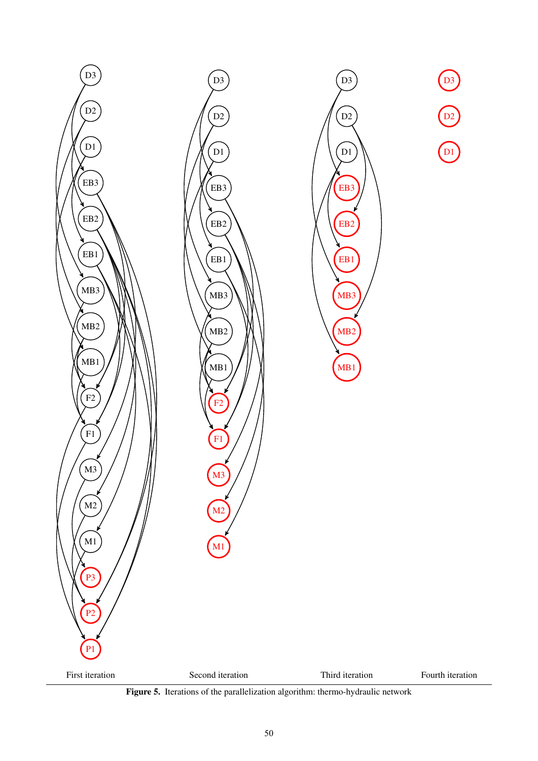

Figure 5. Iterations of the parallelization algorithm: thermo-hydraulic network